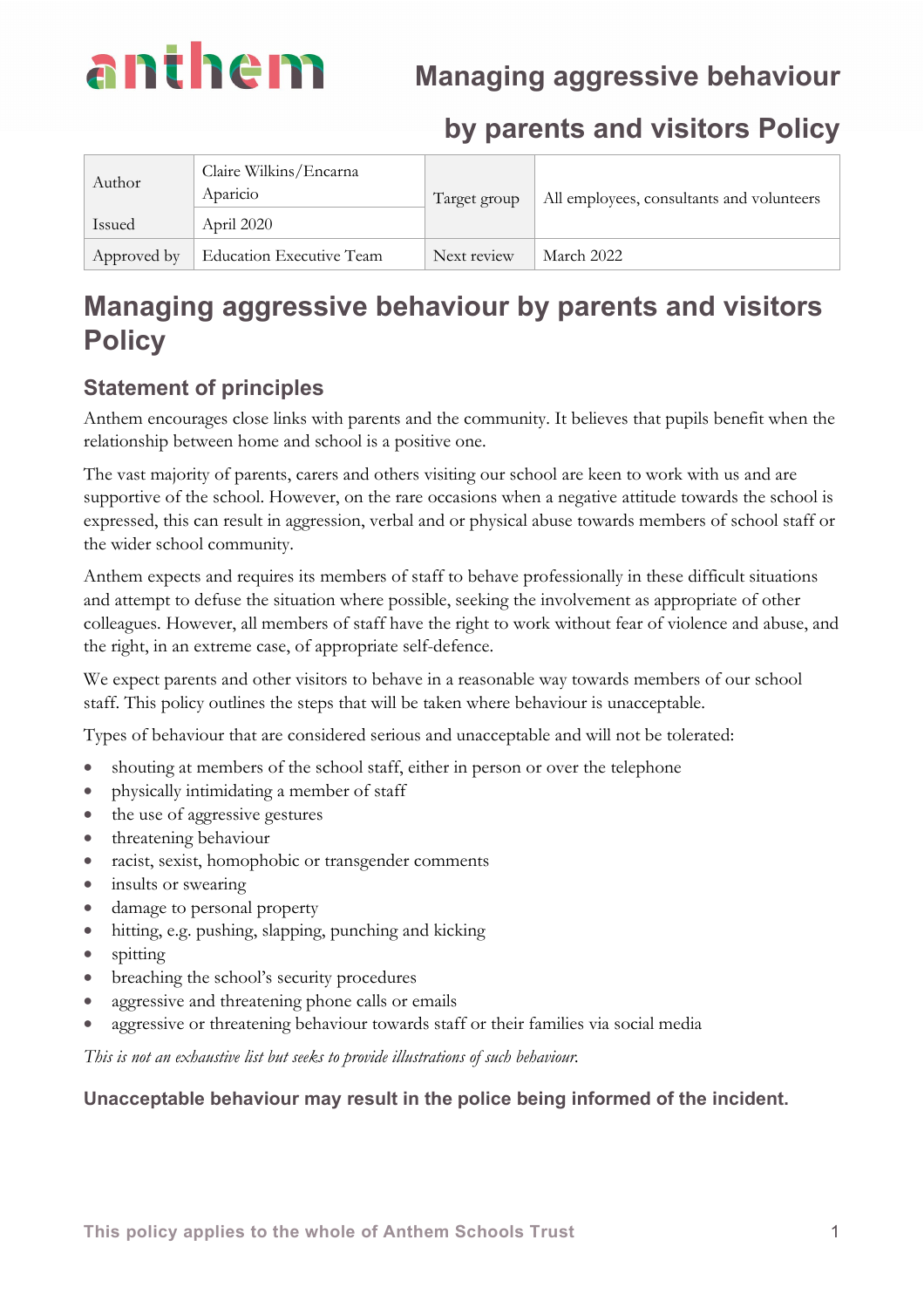

## **by parents and visitors Policy**

| Author      | Claire Wilkins/Encarna<br>Aparicio | Target group | All employees, consultants and volunteers |
|-------------|------------------------------------|--------------|-------------------------------------------|
| Issued      | April 2020                         |              |                                           |
| Approved by | <b>Education Executive Team</b>    | Next review  | March 2022                                |

# **Managing aggressive behaviour by parents and visitors Policy**

## **Statement of principles**

Anthem encourages close links with parents and the community. It believes that pupils benefit when the relationship between home and school is a positive one.

The vast majority of parents, carers and others visiting our school are keen to work with us and are supportive of the school. However, on the rare occasions when a negative attitude towards the school is expressed, this can result in aggression, verbal and or physical abuse towards members of school staff or the wider school community.

Anthem expects and requires its members of staff to behave professionally in these difficult situations and attempt to defuse the situation where possible, seeking the involvement as appropriate of other colleagues. However, all members of staff have the right to work without fear of violence and abuse, and the right, in an extreme case, of appropriate self-defence.

We expect parents and other visitors to behave in a reasonable way towards members of our school staff. This policy outlines the steps that will be taken where behaviour is unacceptable.

Types of behaviour that are considered serious and unacceptable and will not be tolerated:

- shouting at members of the school staff, either in person or over the telephone
- physically intimidating a member of staff
- the use of aggressive gestures
- threatening behaviour
- racist, sexist, homophobic or transgender comments
- insults or swearing
- damage to personal property
- hitting, e.g. pushing, slapping, punching and kicking
- spitting
- breaching the school's security procedures
- aggressive and threatening phone calls or emails
- aggressive or threatening behaviour towards staff or their families via social media

*This is not an exhaustive list but seeks to provide illustrations of such behaviour.* 

#### **Unacceptable behaviour may result in the police being informed of the incident.**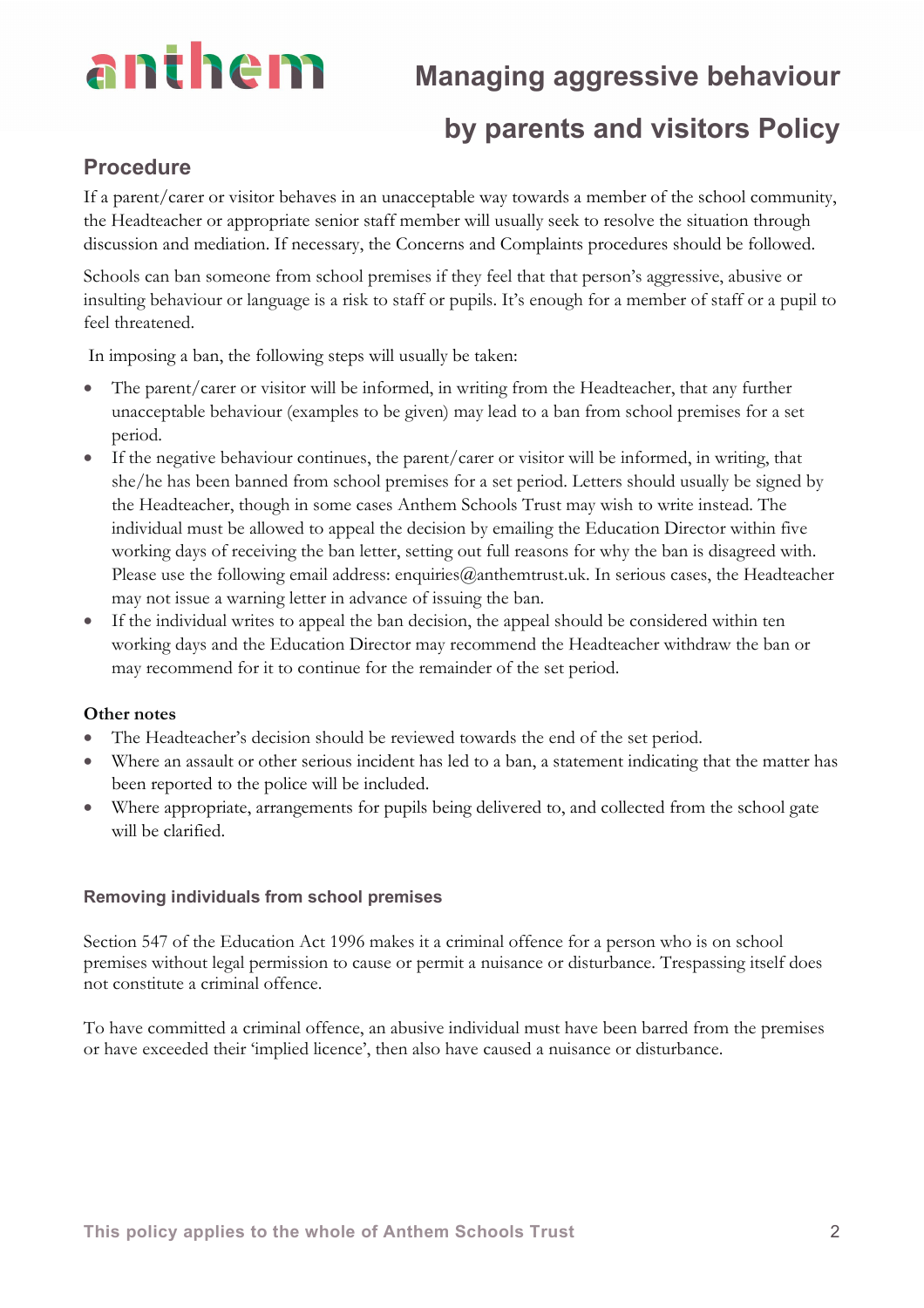# anthem

## **Managing aggressive behaviour**

## **by parents and visitors Policy**

## **Procedure**

If a parent/carer or visitor behaves in an unacceptable way towards a member of the school community, the Headteacher or appropriate senior staff member will usually seek to resolve the situation through discussion and mediation. If necessary, the Concerns and Complaints procedures should be followed.

Schools can ban someone from school premises if they feel that that person's aggressive, abusive or insulting behaviour or language is a risk to staff or pupils. It's enough for a member of staff or a pupil to feel threatened.

In imposing a ban, the following steps will usually be taken:

- The parent/carer or visitor will be informed, in writing from the Headteacher, that any further unacceptable behaviour (examples to be given) may lead to a ban from school premises for a set period.
- If the negative behaviour continues, the parent/carer or visitor will be informed, in writing, that she/he has been banned from school premises for a set period. Letters should usually be signed by the Headteacher, though in some cases Anthem Schools Trust may wish to write instead. The individual must be allowed to appeal the decision by emailing the Education Director within five working days of receiving the ban letter, setting out full reasons for why the ban is disagreed with. Please use the following email address: enquiries@anthemtrust.uk. In serious cases, the Headteacher may not issue a warning letter in advance of issuing the ban.
- If the individual writes to appeal the ban decision, the appeal should be considered within ten working days and the Education Director may recommend the Headteacher withdraw the ban or may recommend for it to continue for the remainder of the set period.

#### **Other notes**

- The Headteacher's decision should be reviewed towards the end of the set period.
- Where an assault or other serious incident has led to a ban, a statement indicating that the matter has been reported to the police will be included.
- Where appropriate, arrangements for pupils being delivered to, and collected from the school gate will be clarified.

#### **Removing individuals from school premises**

Section 547 of the Education Act 1996 makes it a criminal offence for a person who is on school premises without legal permission to cause or permit a nuisance or disturbance. Trespassing itself does not constitute a criminal offence.

To have committed a criminal offence, an abusive individual must have been barred from the premises or have exceeded their 'implied licence', then also have caused a nuisance or disturbance.